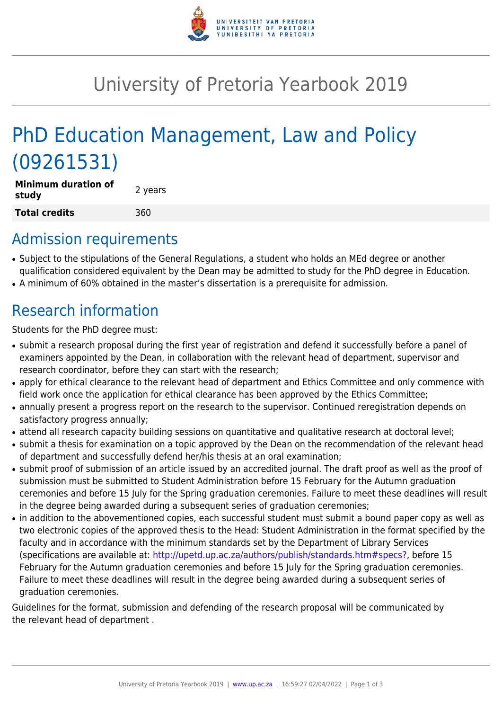

## University of Pretoria Yearbook 2019

# PhD Education Management, Law and Policy (09261531)

| <b>Minimum duration of</b><br>study | 2 years |
|-------------------------------------|---------|
| Total credits                       | 360     |

### Admission requirements

- Subject to the stipulations of the General Regulations, a student who holds an MEd degree or another qualification considered equivalent by the Dean may be admitted to study for the PhD degree in Education.
- A minimum of 60% obtained in the master's dissertation is a prerequisite for admission.

## Research information

Students for the PhD degree must:

- submit a research proposal during the first year of registration and defend it successfully before a panel of examiners appointed by the Dean, in collaboration with the relevant head of department, supervisor and research coordinator, before they can start with the research;
- apply for ethical clearance to the relevant head of department and Ethics Committee and only commence with field work once the application for ethical clearance has been approved by the Ethics Committee;
- annually present a progress report on the research to the supervisor. Continued reregistration depends on satisfactory progress annually;
- attend all research capacity building sessions on quantitative and qualitative research at doctoral level;
- submit a thesis for examination on a topic approved by the Dean on the recommendation of the relevant head of department and successfully defend her/his thesis at an oral examination;
- submit proof of submission of an article issued by an accredited journal. The draft proof as well as the proof of submission must be submitted to Student Administration before 15 February for the Autumn graduation ceremonies and before 15 July for the Spring graduation ceremonies. Failure to meet these deadlines will result in the degree being awarded during a subsequent series of graduation ceremonies;
- in addition to the abovementioned copies, each successful student must submit a bound paper copy as well as two electronic copies of the approved thesis to the Head: Student Administration in the format specified by the faculty and in accordance with the minimum standards set by the Department of Library Services (specifications are available at: [http://upetd.up.ac.za/authors/publish/standards.htm#specs?,](http://upetd.up.ac.za/authors/publish/standards.htm#specs) before 15 February for the Autumn graduation ceremonies and before 15 July for the Spring graduation ceremonies. Failure to meet these deadlines will result in the degree being awarded during a subsequent series of graduation ceremonies.

Guidelines for the format, submission and defending of the research proposal will be communicated by the relevant head of department .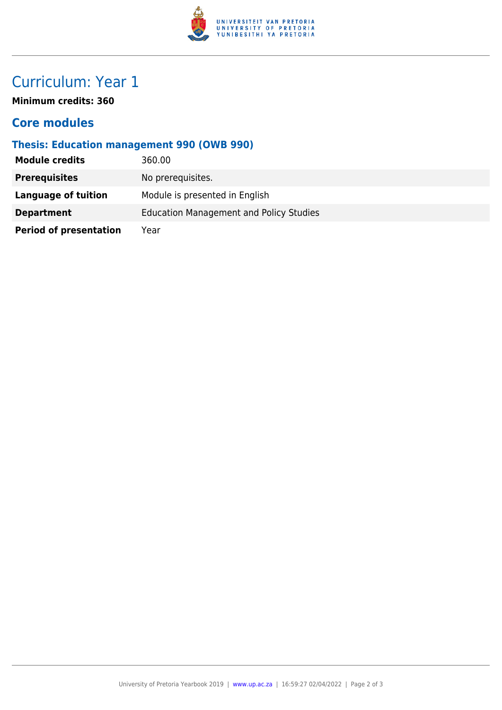

### Curriculum: Year 1

**Minimum credits: 360**

#### **Core modules**

#### **Thesis: Education management 990 (OWB 990)**

| <b>Module credits</b>         | 360.00                                         |
|-------------------------------|------------------------------------------------|
| <b>Prerequisites</b>          | No prerequisites.                              |
| Language of tuition           | Module is presented in English                 |
| <b>Department</b>             | <b>Education Management and Policy Studies</b> |
| <b>Period of presentation</b> | Year                                           |